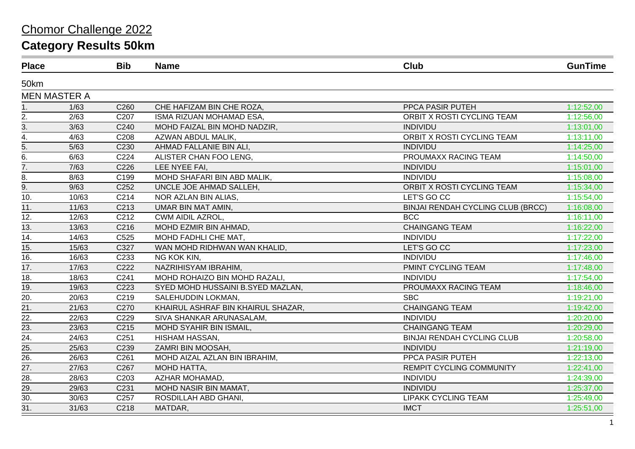| <b>Place</b>      |                     | <b>Bib</b>       | <b>Name</b>                        | <b>Club</b>                              | <b>GunTime</b> |
|-------------------|---------------------|------------------|------------------------------------|------------------------------------------|----------------|
| 50km              |                     |                  |                                    |                                          |                |
|                   | <b>MEN MASTER A</b> |                  |                                    |                                          |                |
| 1.                | 1/63                | C260             | CHE HAFIZAM BIN CHE ROZA,          | PPCA PASIR PUTEH                         | 1:12:52,00     |
| 2.                | 2/63                | C <sub>207</sub> | ISMA RIZUAN MOHAMAD ESA,           | ORBIT X ROSTI CYCLING TEAM               | 1:12:56,00     |
| 3.                | 3/63                | C240             | MOHD FAIZAL BIN MOHD NADZIR,       | <b>INDIVIDU</b>                          | 1:13:01,00     |
| $\overline{4}$ .  | 4/63                | C208             | AZWAN ABDUL MALIK,                 | ORBIT X ROSTI CYCLING TEAM               | 1:13:11,00     |
|                   | 5/63                | C230             | AHMAD FALLANIE BIN ALI,            | <b>INDIVIDU</b>                          | 1:14:25,00     |
| $rac{5}{6}$       | 6/63                | C224             | ALISTER CHAN FOO LENG,             | PROUMAXX RACING TEAM                     | 1:14:50,00     |
| 7.                | 7/63                | C226             | LEE NYEE FAI,                      | <b>INDIVIDU</b>                          | 1:15:01,00     |
| 8.                | 8/63                | C199             | MOHD SHAFARI BIN ABD MALIK,        | <b>INDIVIDU</b>                          | 1:15:08,00     |
| $\overline{9}$ .  | 9/63                | C <sub>252</sub> | UNCLE JOE AHMAD SALLEH,            | ORBIT X ROSTI CYCLING TEAM               | 1:15:34,00     |
| 10.               | 10/63               | C214             | NOR AZLAN BIN ALIAS,               | LET'S GO CC                              | 1:15:54,00     |
| 11.               | 11/63               | C213             | UMAR BIN MAT AMIN,                 | <b>BINJAI RENDAH CYCLING CLUB (BRCC)</b> | 1:16:08,00     |
| 12.               | 12/63               | C212             | <b>CWM AIDIL AZROL,</b>            | <b>BCC</b>                               | 1:16:11,00     |
| 13.               | 13/63               | C216             | MOHD EZMIR BIN AHMAD,              | <b>CHAINGANG TEAM</b>                    | 1:16:22,00     |
| 14.               | 14/63               | C525             | MOHD FADHLI CHE MAT,               | <b>INDIVIDU</b>                          | 1:17:22,00     |
| 15.               | 15/63               | C327             | WAN MOHD RIDHWAN WAN KHALID,       | LET'S GO CC                              | 1:17:23,00     |
| 16.               | 16/63               | C233             | NG KOK KIN,                        | <b>INDIVIDU</b>                          | 1:17:46,00     |
| 17.               | 17/63               | C222             | NAZRIHISYAM IBRAHIM,               | PMINT CYCLING TEAM                       | 1:17:48,00     |
| $\overline{18}$ . | 18/63               | C241             | MOHD ROHAIZO BIN MOHD RAZALI,      | <b>INDIVIDU</b>                          | 1:17:54,00     |
| 19.               | 19/63               | C223             | SYED MOHD HUSSAINI B.SYED MAZLAN,  | PROUMAXX RACING TEAM                     | 1:18:46,00     |
| $\overline{20}$ . | 20/63               | C219             | SALEHUDDIN LOKMAN,                 | <b>SBC</b>                               | 1:19:21,00     |
| 21.               | 21/63               | C270             | KHAIRUL ASHRAF BIN KHAIRUL SHAZAR, | <b>CHAINGANG TEAM</b>                    | 1:19:42,00     |
| 22.               | 22/63               | C229             | SIVA SHANKAR ARUNASALAM,           | <b>INDIVIDU</b>                          | 1:20:20,00     |
| 23.               | 23/63               | C215             | MOHD SYAHIR BIN ISMAIL,            | <b>CHAINGANG TEAM</b>                    | 1:20:29,00     |
| 24.               | 24/63               | C <sub>251</sub> | HISHAM HASSAN,                     | <b>BINJAI RENDAH CYCLING CLUB</b>        | 1:20:58,00     |
| 25.               | 25/63               | C239             | ZAMRI BIN MOOSAH,                  | <b>INDIVIDU</b>                          | 1:21:19,00     |
| 26.               | 26/63               | C261             | MOHD AIZAL AZLAN BIN IBRAHIM,      | PPCA PASIR PUTEH                         | 1:22:13,00     |
| $\overline{27}$ . | 27/63               | C267             | MOHD HATTA,                        | REMPIT CYCLING COMMUNITY                 | 1:22:41,00     |
| 28.               | 28/63               | C203             | AZHAR MOHAMAD,                     | <b>INDIVIDU</b>                          | 1:24:39,00     |
| 29.               | 29/63               | C231             | MOHD NASIR BIN MAMAT,              | <b>INDIVIDU</b>                          | 1:25:37,00     |
| 30.               | 30/63               | C <sub>257</sub> | ROSDILLAH ABD GHANI,               | <b>LIPAKK CYCLING TEAM</b>               | 1:25:49,00     |
| 31.               | 31/63               | C218             | MATDAR,                            | <b>IMCT</b>                              | 1:25:51,00     |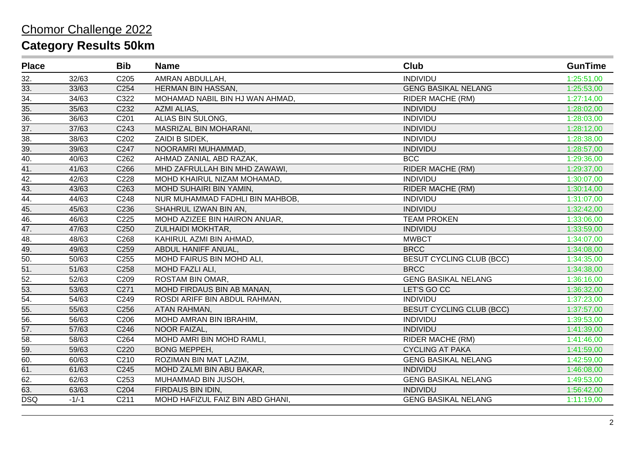| <b>Place</b>      |         | <b>Bib</b>       | <b>Name</b>                      | Club                            | <b>GunTime</b> |
|-------------------|---------|------------------|----------------------------------|---------------------------------|----------------|
| 32.               | 32/63   | C <sub>205</sub> | AMRAN ABDULLAH,                  | <b>INDIVIDU</b>                 | 1:25:51,00     |
| 33.               | 33/63   | C254             | <b>HERMAN BIN HASSAN,</b>        | <b>GENG BASIKAL NELANG</b>      | 1:25:53,00     |
| 34.               | 34/63   | C322             | MOHAMAD NABIL BIN HJ WAN AHMAD,  | <b>RIDER MACHE (RM)</b>         | 1:27:14,00     |
| 35.               | 35/63   | C232             | AZMI ALIAS,                      | <b>INDIVIDU</b>                 | 1:28:02,00     |
| $\overline{36}$ . | 36/63   | C201             | ALIAS BIN SULONG,                | <b>INDIVIDU</b>                 | 1:28:03,00     |
| 37.               | 37/63   | C243             | MASRIZAL BIN MOHARANI,           | <b>INDIVIDU</b>                 | 1:28:12,00     |
| 38.               | 38/63   | C202             | ZAIDI B SIDEK,                   | <b>INDIVIDU</b>                 | 1:28:38,00     |
| 39.               | 39/63   | C247             | NOORAMRI MUHAMMAD,               | <b>INDIVIDU</b>                 | 1:28:57,00     |
| 40.               | 40/63   | C262             | AHMAD ZANIAL ABD RAZAK,          | <b>BCC</b>                      | 1:29:36,00     |
| $\overline{41}$ . | 41/63   | C266             | MHD ZAFRULLAH BIN MHD ZAWAWI,    | <b>RIDER MACHE (RM)</b>         | 1:29:37,00     |
| 42.               | 42/63   | C228             | MOHD KHAIRUL NIZAM MOHAMAD,      | <b>INDIVIDU</b>                 | 1:30:07,00     |
| 43.               | 43/63   | C <sub>263</sub> | MOHD SUHAIRI BIN YAMIN,          | <b>RIDER MACHE (RM)</b>         | 1:30:14,00     |
| 44.               | 44/63   | C248             | NUR MUHAMMAD FADHLI BIN MAHBOB,  | <b>INDIVIDU</b>                 | 1:31:07,00     |
| 45.               | 45/63   | C236             | SHAHRUL IZWAN BIN AN,            | <b>INDIVIDU</b>                 | 1:32:42,00     |
| 46.               | 46/63   | C225             | MOHD AZIZEE BIN HAIRON ANUAR,    | <b>TEAM PROKEN</b>              | 1:33:06,00     |
| 47.               | 47/63   | C <sub>250</sub> | ZULHAIDI MOKHTAR,                | <b>INDIVIDU</b>                 | 1:33:59,00     |
| 48.               | 48/63   | C268             | KAHIRUL AZMI BIN AHMAD,          | <b>MWBCT</b>                    | 1:34:07,00     |
| 49.               | 49/63   | C259             | ABDUL HANIFF ANUAL,              | <b>BRCC</b>                     | 1:34:08,00     |
| 50.               | 50/63   | C <sub>255</sub> | MOHD FAIRUS BIN MOHD ALI,        | <b>BESUT CYCLING CLUB (BCC)</b> | 1:34:35,00     |
| 51.               | 51/63   | C258             | MOHD FAZLI ALI,                  | <b>BRCC</b>                     | 1:34:38,00     |
| 52.               | 52/63   | C209             | ROSTAM BIN OMAR,                 | <b>GENG BASIKAL NELANG</b>      | 1:36:16,00     |
| 53.               | 53/63   | C271             | MOHD FIRDAUS BIN AB MANAN,       | LET'S GO CC                     | 1:36:32,00     |
| 54.               | 54/63   | C249             | ROSDI ARIFF BIN ABDUL RAHMAN,    | <b>INDIVIDU</b>                 | 1:37:23,00     |
| 55.               | 55/63   | C256             | ATAN RAHMAN,                     | <b>BESUT CYCLING CLUB (BCC)</b> | 1:37:57,00     |
| $\overline{56}$ . | 56/63   | C206             | MOHD AMRAN BIN IBRAHIM,          | <b>INDIVIDU</b>                 | 1:39:53,00     |
| $\overline{57}$ . | 57/63   | C246             | NOOR FAIZAL,                     | <b>INDIVIDU</b>                 | 1:41:39,00     |
| 58.               | 58/63   | C264             | MOHD AMRI BIN MOHD RAMLI,        | <b>RIDER MACHE (RM)</b>         | 1:41:46,00     |
| 59.               | 59/63   | C220             | <b>BONG MEPPEH,</b>              | <b>CYCLING AT PAKA</b>          | 1:41:59,00     |
| 60.               | 60/63   | C210             | ROZIMAN BIN MAT LAZIM,           | <b>GENG BASIKAL NELANG</b>      | 1:42:59,00     |
| 61.               | 61/63   | C245             | MOHD ZALMI BIN ABU BAKAR,        | <b>INDIVIDU</b>                 | 1:46:08,00     |
| 62.               | 62/63   | C <sub>253</sub> | MUHAMMAD BIN JUSOH,              | <b>GENG BASIKAL NELANG</b>      | 1:49:53,00     |
| 63.               | 63/63   | C204             | FIRDAUS BIN IDIN,                | <b>INDIVIDU</b>                 | 1:56:42,00     |
| <b>DSQ</b>        | $-1/-1$ | C211             | MOHD HAFIZUL FAIZ BIN ABD GHANI, | <b>GENG BASIKAL NELANG</b>      | 1:11:19,00     |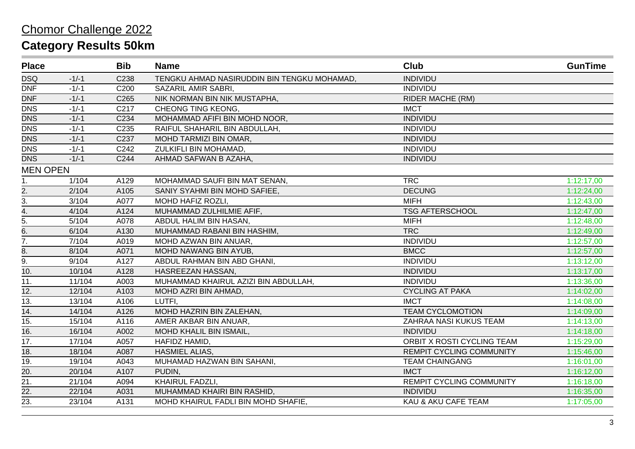| <b>Place</b>     |         | <b>Bib</b>       | <b>Name</b>                                 | <b>Club</b>                     | <b>GunTime</b> |
|------------------|---------|------------------|---------------------------------------------|---------------------------------|----------------|
| <b>DSQ</b>       | $-1/-1$ | C238             | TENGKU AHMAD NASIRUDDIN BIN TENGKU MOHAMAD, | <b>INDIVIDU</b>                 |                |
| <b>DNF</b>       | $-1/-1$ | C200             | SAZARIL AMIR SABRI,                         | <b>INDIVIDU</b>                 |                |
| <b>DNF</b>       | $-1/-1$ | C265             | NIK NORMAN BIN NIK MUSTAPHA,                | <b>RIDER MACHE (RM)</b>         |                |
| <b>DNS</b>       | $-1/-1$ | C <sub>217</sub> | CHEONG TING KEONG.                          | <b>IMCT</b>                     |                |
| <b>DNS</b>       | $-1/-1$ | C234             | MOHAMMAD AFIFI BIN MOHD NOOR,               | <b>INDIVIDU</b>                 |                |
| <b>DNS</b>       | $-1/-1$ | C235             | RAIFUL SHAHARIL BIN ABDULLAH,               | <b>INDIVIDU</b>                 |                |
| <b>DNS</b>       | $-1/-1$ | C237             | MOHD TARMIZI BIN OMAR,                      | <b>INDIVIDU</b>                 |                |
| <b>DNS</b>       | $-1/-1$ | C242             | ZULKIFLI BIN MOHAMAD,                       | <b>INDIVIDU</b>                 |                |
| <b>DNS</b>       | $-1/-1$ | C244             | AHMAD SAFWAN B AZAHA,                       | <b>INDIVIDU</b>                 |                |
| <b>MEN OPEN</b>  |         |                  |                                             |                                 |                |
| 1.               | 1/104   | A129             | MOHAMMAD SAUFI BIN MAT SENAN,               | <b>TRC</b>                      | 1:12:17,00     |
| $\overline{2}$ . | 2/104   | A105             | SANIY SYAHMI BIN MOHD SAFIEE.               | <b>DECUNG</b>                   | 1:12:24,00     |
| 3.               | 3/104   | A077             | MOHD HAFIZ ROZLI,                           | <b>MIFH</b>                     | 1:12:43,00     |
| 4.               | 4/104   | A124             | MUHAMMAD ZULHILMIE AFIF,                    | <b>TSG AFTERSCHOOL</b>          | 1:12:47,00     |
| $\overline{5}$ . | 5/104   | A078             | ABDUL HALIM BIN HASAN,                      | <b>MIFH</b>                     | 1:12:48,00     |
| 6.               | 6/104   | A130             | MUHAMMAD RABANI BIN HASHIM,                 | <b>TRC</b>                      | 1:12:49,00     |
| $\overline{7}$ . | 7/104   | A019             | MOHD AZWAN BIN ANUAR,                       | <b>INDIVIDU</b>                 | 1:12:57,00     |
| 8.               | 8/104   | A071             | MOHD NAWANG BIN AYUB,                       | <b>BMCC</b>                     | 1:12:57,00     |
| 9.               | 9/104   | A127             | ABDUL RAHMAN BIN ABD GHANI,                 | <b>INDIVIDU</b>                 | 1:13:12,00     |
| 10.              | 10/104  | A128             | HASREEZAN HASSAN,                           | <b>INDIVIDU</b>                 | 1:13:17,00     |
| 11.              | 11/104  | A003             | MUHAMMAD KHAIRUL AZIZI BIN ABDULLAH,        | <b>INDIVIDU</b>                 | 1:13:36,00     |
| 12.              | 12/104  | A103             | MOHD AZRI BIN AHMAD,                        | <b>CYCLING AT PAKA</b>          | 1:14:02,00     |
| 13.              | 13/104  | A106             | LUTFI,                                      | <b>IMCT</b>                     | 1:14:08,00     |
| 14.              | 14/104  | A126             | MOHD HAZRIN BIN ZALEHAN,                    | <b>TEAM CYCLOMOTION</b>         | 1:14:09,00     |
| 15.              | 15/104  | A116             | AMER AKBAR BIN ANUAR,                       | ZAHRAA NASI KUKUS TEAM          | 1:14:13,00     |
| 16.              | 16/104  | A002             | MOHD KHALIL BIN ISMAIL,                     | <b>INDIVIDU</b>                 | 1:14:18,00     |
| 17.              | 17/104  | A057             | HAFIDZ HAMID,                               | ORBIT X ROSTI CYCLING TEAM      | 1:15:29,00     |
| 18.              | 18/104  | A087             | <b>HASMIEL ALIAS,</b>                       | <b>REMPIT CYCLING COMMUNITY</b> | 1:15:46,00     |
| 19.              | 19/104  | A043             | MUHAMAD HAZWAN BIN SAHANI,                  | <b>TEAM CHAINGANG</b>           | 1:16:01,00     |
| 20.              | 20/104  | A107             | PUDIN,                                      | <b>IMCT</b>                     | 1:16:12,00     |
| 21.              | 21/104  | A094             | KHAIRUL FADZLI,                             | REMPIT CYCLING COMMUNITY        | 1:16:18,00     |
| 22.              | 22/104  | A031             | MUHAMMAD KHAIRI BIN RASHID,                 | <b>INDIVIDU</b>                 | 1:16:35,00     |
| 23.              | 23/104  | A131             | MOHD KHAIRUL FADLI BIN MOHD SHAFIE,         | KAU & AKU CAFE TEAM             | 1:17:05,00     |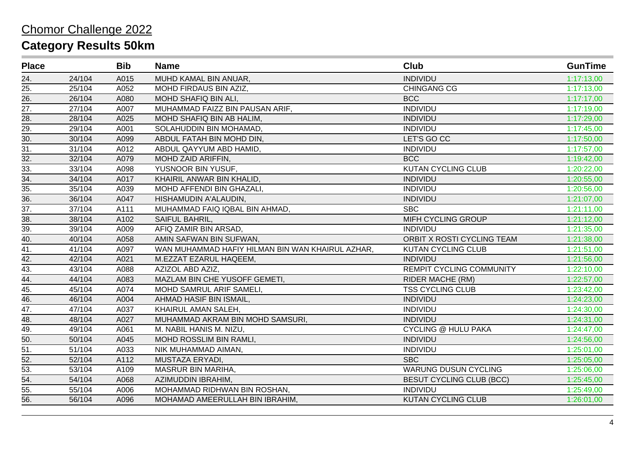| <b>Place</b>      |                    | <b>Bib</b> | <b>Name</b>                                      | <b>Club</b>                     | <b>GunTime</b> |
|-------------------|--------------------|------------|--------------------------------------------------|---------------------------------|----------------|
| 24.               | 24/104             | A015       | MUHD KAMAL BIN ANUAR,                            | <b>INDIVIDU</b>                 | 1:17:13,00     |
| 25.               | 25/104             | A052       | MOHD FIRDAUS BIN AZIZ,                           | <b>CHINGANG CG</b>              | 1:17:13,00     |
| 26.               | 26/104             | A080       | MOHD SHAFIQ BIN ALI,                             | <b>BCC</b>                      | 1:17:17,00     |
| 27.               | 27/104             | A007       | MUHAMMAD FAIZZ BIN PAUSAN ARIF,                  | <b>INDIVIDU</b>                 | 1:17:19,00     |
| 28.               | 28/104             | A025       | MOHD SHAFIQ BIN AB HALIM,                        | <b>INDIVIDU</b>                 | 1:17:29,00     |
| $\overline{29}$ . | 29/104             | A001       | SOLAHUDDIN BIN MOHAMAD,                          | <b>INDIVIDU</b>                 | 1:17:45,00     |
| 30.               | 30/104             | A099       | ABDUL FATAH BIN MOHD DIN,                        | LET'S GO CC                     | 1:17:50,00     |
| 31.               | 31/104             | A012       | ABDUL QAYYUM ABD HAMID,                          | <b>INDIVIDU</b>                 | 1:17:57,00     |
| 32.               | 32/104             | A079       | MOHD ZAID ARIFFIN,                               | <b>BCC</b>                      | 1:19:42,00     |
| 33.               | 33/104             | A098       | YUSNOOR BIN YUSUF,                               | <b>KUTAN CYCLING CLUB</b>       | 1:20:22,00     |
| 34.               | 34/104             | A017       | KHAIRIL ANWAR BIN KHALID,                        | <b>INDIVIDU</b>                 | 1:20:55,00     |
| 35.               | 35/104             | A039       | MOHD AFFENDI BIN GHAZALI,                        | <b>INDIVIDU</b>                 | 1:20:56,00     |
| 36.               | 36/104             | A047       | HISHAMUDIN A'ALAUDIN,                            | <b>INDIVIDU</b>                 | 1:21:07,00     |
| 37.               | 37/104             | A111       | MUHAMMAD FAIQ IQBAL BIN AHMAD,                   | <b>SBC</b>                      | 1:21:11,00     |
| 38.               | 38/104             | A102       | SAIFUL BAHRIL,                                   | MIFH CYCLING GROUP              | 1:21:12,00     |
| 39.               | 39/104             | A009       | AFIQ ZAMIR BIN ARSAD,                            | <b>INDIVIDU</b>                 | 1:21:35,00     |
| 40.               | 40/104             | A058       | AMIN SAFWAN BIN SUFWAN,                          | ORBIT X ROSTI CYCLING TEAM      | 1:21:38,00     |
| 41.               | 41/104             | A097       | WAN MUHAMMAD HAFIY HILMAN BIN WAN KHAIRUL AZHAR. | <b>KUTAN CYCLING CLUB</b>       | 1:21:51,00     |
| $\overline{42.}$  | 42/104             | A021       | M.EZZAT EZARUL HAQEEM,                           | <b>INDIVIDU</b>                 | 1:21:56,00     |
| $\overline{43.}$  | 43/104             | A088       | AZIZOL ABD AZIZ,                                 | <b>REMPIT CYCLING COMMUNITY</b> | 1:22:10,00     |
| 44.               | 44/104             | A083       | MAZLAM BIN CHE YUSOFF GEMETI,                    | <b>RIDER MACHE (RM)</b>         | 1:22:57,00     |
| 45.               | 45/104             | A074       | MOHD SAMRUL ARIF SAMELI,                         | <b>TSS CYCLING CLUB</b>         | 1:23:42,00     |
| 46.               | 46/104             | A004       | AHMAD HASIF BIN ISMAIL,                          | <b>INDIVIDU</b>                 | 1:24:23,00     |
| 47.               | $\frac{1}{47/104}$ | A037       | KHAIRUL AMAN SALEH,                              | <b>INDIVIDU</b>                 | 1:24:30,00     |
| 48.               | 48/104             | A027       | MUHAMMAD AKRAM BIN MOHD SAMSURI,                 | <b>INDIVIDU</b>                 | 1:24:31,00     |
| 49.               | 49/104             | A061       | M. NABIL HANIS M. NIZU,                          | <b>CYCLING @ HULU PAKA</b>      | 1:24:47,00     |
| 50.               | 50/104             | A045       | MOHD ROSSLIM BIN RAMLI,                          | <b>INDIVIDU</b>                 | 1:24:56,00     |
| 51.               | 51/104             | A033       | NIK MUHAMMAD AIMAN,                              | <b>INDIVIDU</b>                 | 1:25:01,00     |
| 52.               | 52/104             | A112       | MUSTAZA ERYADI,                                  | <b>SBC</b>                      | 1:25:05,00     |
| 53.               | 53/104             | A109       | MASRUR BIN MARIHA,                               | <b>WARUNG DUSUN CYCLING</b>     | 1:25:06,00     |
| 54.               | 54/104             | A068       | AZIMUDDIN IBRAHIM,                               | <b>BESUT CYCLING CLUB (BCC)</b> | 1:25:45,00     |
| 55.               | 55/104             | A006       | MOHAMMAD RIDHWAN BIN ROSHAN,                     | <b>INDIVIDU</b>                 | 1:25:49,00     |
| 56.               | 56/104             | A096       | MOHAMAD AMEERULLAH BIN IBRAHIM,                  | <b>KUTAN CYCLING CLUB</b>       | 1:26:01,00     |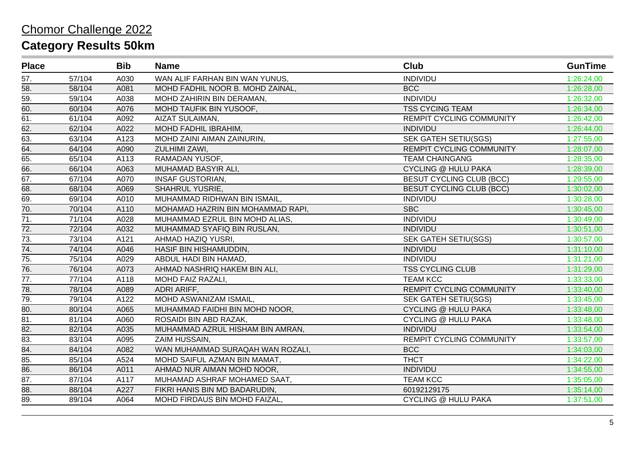| <b>Place</b>    |        | <b>Bib</b> | <b>Name</b>                       | Club                            | <b>GunTime</b> |
|-----------------|--------|------------|-----------------------------------|---------------------------------|----------------|
| 57.             | 57/104 | A030       | WAN ALIF FARHAN BIN WAN YUNUS,    | <b>INDIVIDU</b>                 | 1:26:24,00     |
| 58.             | 58/104 | A081       | MOHD FADHIL NOOR B. MOHD ZAINAL,  | <b>BCC</b>                      | 1:26:28,00     |
| 59.             | 59/104 | A038       | MOHD ZAHIRIN BIN DERAMAN,         | <b>INDIVIDU</b>                 | 1:26:32,00     |
| 60.             | 60/104 | A076       | MOHD TAUFIK BIN YUSOOF,           | <b>TSS CYCING TEAM</b>          | 1:26:34,00     |
| 61.             | 61/104 | A092       | AIZAT SULAIMAN,                   | REMPIT CYCLING COMMUNITY        | 1:26:42,00     |
| 62.             | 62/104 | A022       | MOHD FADHIL IBRAHIM,              | <b>INDIVIDU</b>                 | 1:26:44,00     |
| 63.             | 63/104 | A123       | MOHD ZAINI AIMAN ZAINURIN,        | <b>SEK GATEH SETIU(SGS)</b>     | 1:27:55,00     |
| 64.             | 64/104 | A090       | ZULHIMI ZAWI,                     | <b>REMPIT CYCLING COMMUNITY</b> | 1:28:07,00     |
| 65.             | 65/104 | A113       | RAMADAN YUSOF,                    | <b>TEAM CHAINGANG</b>           | 1:28:35,00     |
| 66.             | 66/104 | A063       | MUHAMAD BASYIR ALI,               | <b>CYCLING @ HULU PAKA</b>      | 1:28:39,00     |
| 67.             | 67/104 | A070       | <b>INSAF GUSTORIAN,</b>           | <b>BESUT CYCLING CLUB (BCC)</b> | 1:29:55,00     |
| 68.             | 68/104 | A069       | <b>SHAHRUL YUSRIE,</b>            | <b>BESUT CYCLING CLUB (BCC)</b> | 1:30:02,00     |
| 69.             | 69/104 | A010       | MUHAMMAD RIDHWAN BIN ISMAIL,      | <b>INDIVIDU</b>                 | 1:30:28,00     |
| 70.             | 70/104 | A110       | MOHAMAD HAZRIN BIN MOHAMMAD RAPI, | <b>SBC</b>                      | 1:30:45,00     |
| 71.             | 71/104 | A028       | MUHAMMAD EZRUL BIN MOHD ALIAS,    | <b>INDIVIDU</b>                 | 1:30:49,00     |
| 72.             | 72/104 | A032       | MUHAMMAD SYAFIQ BIN RUSLAN,       | <b>INDIVIDU</b>                 | 1:30:51,00     |
| 73.             | 73/104 | A121       | AHMAD HAZIQ YUSRI,                | <b>SEK GATEH SETIU(SGS)</b>     | 1:30:57,00     |
| 74.             | 74/104 | A046       | HASIF BIN HISHAMUDDIN,            | <b>INDIVIDU</b>                 | 1:31:10,00     |
| 75.             | 75/104 | A029       | ABDUL HADI BIN HAMAD,             | <b>INDIVIDU</b>                 | 1:31:21,00     |
| 76.             | 76/104 | A073       | AHMAD NASHRIQ HAKEM BIN ALI,      | <b>TSS CYCLING CLUB</b>         | 1:31:29,00     |
| 77.             | 77/104 | A118       | MOHD FAIZ RAZALI,                 | <b>TEAM KCC</b>                 | 1:33:33,00     |
| 78.             | 78/104 | A089       | ADRI ARIFF,                       | <b>REMPIT CYCLING COMMUNITY</b> | 1:33:40,00     |
| 79.             | 79/104 | A122       | MOHD ASWANIZAM ISMAIL,            | SEK GATEH SETIU(SGS)            | 1:33:45,00     |
| 80.             | 80/104 | A065       | MUHAMMAD FAIDHI BIN MOHD NOOR,    | <b>CYCLING @ HULU PAKA</b>      | 1:33:48,00     |
| $\overline{81}$ | 81/104 | A060       | ROSAIDI BIN ABD RAZAK,            | <b>CYCLING @ HULU PAKA</b>      | 1:33:48,00     |
| 82.             | 82/104 | A035       | MUHAMMAD AZRUL HISHAM BIN AMRAN,  | <b>INDIVIDU</b>                 | 1:33:54,00     |
| 83.             | 83/104 | A095       | ZAIM HUSSAIN,                     | <b>REMPIT CYCLING COMMUNITY</b> | 1:33:57,00     |
| 84.             | 84/104 | A082       | WAN MUHAMMAD SURAQAH WAN ROZALI,  | <b>BCC</b>                      | 1:34:03,00     |
| 85.             | 85/104 | A524       | MOHD SAIFUL AZMAN BIN MAMAT,      | <b>THCT</b>                     | 1:34:22,00     |
| 86.             | 86/104 | A011       | AHMAD NUR AIMAN MOHD NOOR,        | <b>INDIVIDU</b>                 | 1:34:55,00     |
| 87.             | 87/104 | A117       | MUHAMAD ASHRAF MOHAMED SAAT,      | <b>TEAM KCC</b>                 | 1:35:05,00     |
| 88.             | 88/104 | A227       | FIKRI HANIS BIN MD BADARUDIN,     | 60192129175                     | 1:35:14,00     |
| 89.             | 89/104 | A064       | MOHD FIRDAUS BIN MOHD FAIZAL,     | <b>CYCLING @ HULU PAKA</b>      | 1:37:51,00     |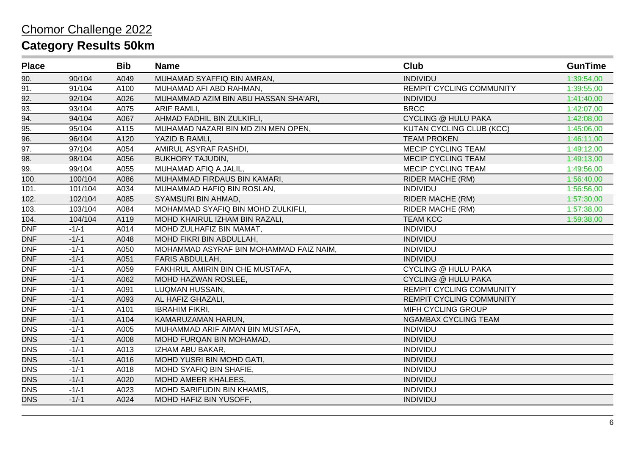| <b>Place</b>      |         | <b>Bib</b> | <b>Name</b>                             | <b>Club</b>                     | <b>GunTime</b> |
|-------------------|---------|------------|-----------------------------------------|---------------------------------|----------------|
| 90.               | 90/104  | A049       | MUHAMAD SYAFFIQ BIN AMRAN,              | <b>INDIVIDU</b>                 | 1:39:54,00     |
| 91.               | 91/104  | A100       | MUHAMAD AFI ABD RAHMAN,                 | <b>REMPIT CYCLING COMMUNITY</b> | 1:39:55,00     |
| 92.               | 92/104  | A026       | MUHAMMAD AZIM BIN ABU HASSAN SHA'ARI,   | <b>INDIVIDU</b>                 | 1:41:40,00     |
| 93.               | 93/104  | A075       | ARIF RAMLI,                             | <b>BRCC</b>                     | 1:42:07,00     |
| $\overline{94}$ . | 94/104  | A067       | AHMAD FADHIL BIN ZULKIFLI,              | <b>CYCLING @ HULU PAKA</b>      | 1:42:08,00     |
| 95.               | 95/104  | A115       | MUHAMAD NAZARI BIN MD ZIN MEN OPEN,     | <b>KUTAN CYCLING CLUB (KCC)</b> | 1:45:06,00     |
| 96.               | 96/104  | A120       | YAZID B RAMLI,                          | <b>TEAM PROKEN</b>              | 1:46:11,00     |
| 97.               | 97/104  | A054       | AMIRUL ASYRAF RASHDI,                   | MECIP CYCLING TEAM              | 1:49:12,00     |
| 98.               | 98/104  | A056       | <b>BUKHORY TAJUDIN,</b>                 | <b>MECIP CYCLING TEAM</b>       | 1:49:13,00     |
| 99.               | 99/104  | A055       | MUHAMAD AFIQ A JALIL,                   | <b>MECIP CYCLING TEAM</b>       | 1:49:56,00     |
| 100.              | 100/104 | A086       | MUHAMMAD FIRDAUS BIN KAMARI,            | <b>RIDER MACHE (RM)</b>         | 1:56:40,00     |
| 101.              | 101/104 | A034       | MUHAMMAD HAFIQ BIN ROSLAN,              | <b>INDIVIDU</b>                 | 1:56:56,00     |
| 102.              | 102/104 | A085       | SYAMSURI BIN AHMAD,                     | <b>RIDER MACHE (RM)</b>         | 1:57:30,00     |
| 103.              | 103/104 | A084       | MOHAMMAD SYAFIQ BIN MOHD ZULKIFLI,      | <b>RIDER MACHE (RM)</b>         | 1:57:38,00     |
| 104.              | 104/104 | A119       | MOHD KHAIRUL IZHAM BIN RAZALI,          | <b>TEAM KCC</b>                 | 1:59:38,00     |
| <b>DNF</b>        | $-1/-1$ | A014       | MOHD ZULHAFIZ BIN MAMAT,                | <b>INDIVIDU</b>                 |                |
| <b>DNF</b>        | $-1/-1$ | A048       | MOHD FIKRI BIN ABDULLAH,                | <b>INDIVIDU</b>                 |                |
| <b>DNF</b>        | $-1/-1$ | A050       | MOHAMMAD ASYRAF BIN MOHAMMAD FAIZ NAIM, | <b>INDIVIDU</b>                 |                |
| <b>DNF</b>        | $-1/-1$ | A051       | FARIS ABDULLAH,                         | <b>INDIVIDU</b>                 |                |
| <b>DNF</b>        | $-1/-1$ | A059       | FAKHRUL AMIRIN BIN CHE MUSTAFA,         | <b>CYCLING @ HULU PAKA</b>      |                |
| <b>DNF</b>        | $-1/-1$ | A062       | MOHD HAZWAN ROSLEE,                     | <b>CYCLING @ HULU PAKA</b>      |                |
| <b>DNF</b>        | $-1/-1$ | A091       | LUQMAN HUSSAIN,                         | <b>REMPIT CYCLING COMMUNITY</b> |                |
| <b>DNF</b>        | $-1/-1$ | A093       | AL HAFIZ GHAZALI,                       | REMPIT CYCLING COMMUNITY        |                |
| <b>DNF</b>        | $-1/-1$ | A101       | <b>IBRAHIM FIKRI,</b>                   | MIFH CYCLING GROUP              |                |
| <b>DNF</b>        | $-1/-1$ | A104       | KAMARUZAMAN HARUN,                      | <b>NGAMBAX CYCLING TEAM</b>     |                |
| <b>DNS</b>        | $-1/-1$ | A005       | MUHAMMAD ARIF AIMAN BIN MUSTAFA,        | <b>INDIVIDU</b>                 |                |
| <b>DNS</b>        | $-1/-1$ | A008       | MOHD FURQAN BIN MOHAMAD,                | <b>INDIVIDU</b>                 |                |
| <b>DNS</b>        | $-1/-1$ | A013       | IZHAM ABU BAKAR,                        | <b>INDIVIDU</b>                 |                |
| <b>DNS</b>        | $-1/-1$ | A016       | MOHD YUSRI BIN MOHD GATI,               | <b>INDIVIDU</b>                 |                |
| <b>DNS</b>        | $-1/-1$ | A018       | MOHD SYAFIQ BIN SHAFIE,                 | <b>INDIVIDU</b>                 |                |
| <b>DNS</b>        | $-1/-1$ | A020       | MOHD AMEER KHALEES,                     | <b>INDIVIDU</b>                 |                |
| <b>DNS</b>        | $-1/-1$ | A023       | MOHD SARIFUDIN BIN KHAMIS,              | <b>INDIVIDU</b>                 |                |
| <b>DNS</b>        | $-1/-1$ | A024       | MOHD HAFIZ BIN YUSOFF,                  | <b>INDIVIDU</b>                 |                |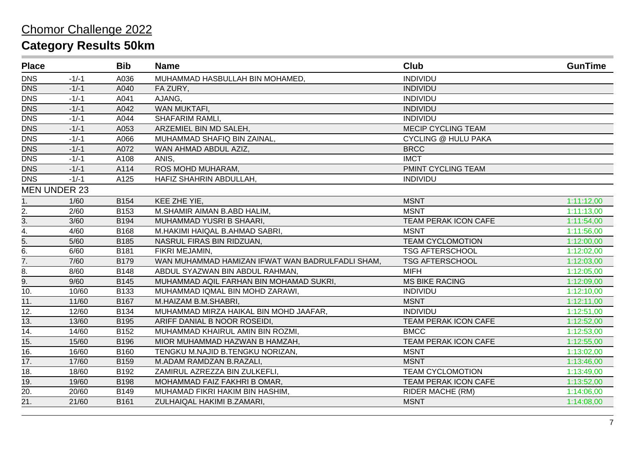| <b>Place</b>     |                     | <b>Bib</b>  | <b>Name</b>                                      | <b>Club</b>                 | <b>GunTime</b> |
|------------------|---------------------|-------------|--------------------------------------------------|-----------------------------|----------------|
| <b>DNS</b>       | $-1/-1$             | A036        | MUHAMMAD HASBULLAH BIN MOHAMED,                  | <b>INDIVIDU</b>             |                |
| <b>DNS</b>       | $-1/-1$             | A040        | FA ZURY,                                         | <b>INDIVIDU</b>             |                |
| <b>DNS</b>       | $-1/-1$             | A041        | AJANG,                                           | <b>INDIVIDU</b>             |                |
| <b>DNS</b>       | $-1/-1$             | A042        | WAN MUKTAFI,                                     | <b>INDIVIDU</b>             |                |
| <b>DNS</b>       | $-1/-1$             | A044        | SHAFARIM RAMLI,                                  | <b>INDIVIDU</b>             |                |
| <b>DNS</b>       | $-1/-1$             | A053        | ARZEMIEL BIN MD SALEH,                           | <b>MECIP CYCLING TEAM</b>   |                |
| <b>DNS</b>       | $-1/-1$             | A066        | MUHAMMAD SHAFIQ BIN ZAINAL,                      | <b>CYCLING @ HULU PAKA</b>  |                |
| <b>DNS</b>       | $-1/-1$             | A072        | WAN AHMAD ABDUL AZIZ,                            | <b>BRCC</b>                 |                |
| <b>DNS</b>       | $-1/-1$             | A108        | ANIS,                                            | <b>IMCT</b>                 |                |
| <b>DNS</b>       | $-1/-1$             | A114        | ROS MOHD MUHARAM,                                | PMINT CYCLING TEAM          |                |
| <b>DNS</b>       | $-1/-1$             | A125        | HAFIZ SHAHRIN ABDULLAH,                          | <b>INDIVIDU</b>             |                |
|                  | <b>MEN UNDER 23</b> |             |                                                  |                             |                |
| 1.               | 1/60                | B154        | KEE ZHE YIE,                                     | <b>MSNT</b>                 | 1:11:12,00     |
| 2.               | 2/60                | B153        | M.SHAMIR AIMAN B.ABD HALIM,                      | <b>MSNT</b>                 | 1:11:13,00     |
| 3.               | 3/60                | B194        | MUHAMMAD YUSRI B SHAARI,                         | TEAM PERAK ICON CAFE        | 1:11:54,00     |
| $\overline{4}$ . | 4/60                | B168        | M.HAKIMI HAIQAL B.AHMAD SABRI,                   | <b>MSNT</b>                 | 1:11:56,00     |
| 5.               | 5/60                | B185        | NASRUL FIRAS BIN RIDZUAN,                        | <b>TEAM CYCLOMOTION</b>     | 1:12:00,00     |
| 6.               | 6/60                | B181        | FIKRI MEJAMIN,                                   | <b>TSG AFTERSCHOOL</b>      | 1:12:02,00     |
| $\overline{7}$ . | 7/60                | <b>B179</b> | WAN MUHAMMAD HAMIZAN IFWAT WAN BADRULFADLI SHAM, | <b>TSG AFTERSCHOOL</b>      | 1:12:03,00     |
| 8.               | 8/60                | <b>B148</b> | ABDUL SYAZWAN BIN ABDUL RAHMAN,                  | <b>MIFH</b>                 | 1:12:05,00     |
| 9.               | 9/60                | B145        | MUHAMMAD AQIL FARHAN BIN MOHAMAD SUKRI,          | <b>MS BIKE RACING</b>       | 1:12:09,00     |
| 10.              | 10/60               | B133        | MUHAMMAD IQMAL BIN MOHD ZARAWI,                  | <b>INDIVIDU</b>             | 1:12:10,00     |
| 11.              | 11/60               | B167        | M.HAIZAM B.M.SHABRI,                             | <b>MSNT</b>                 | 1:12:11,00     |
| 12.              | 12/60               | B134        | MUHAMMAD MIRZA HAIKAL BIN MOHD JAAFAR,           | <b>INDIVIDU</b>             | 1:12:51,00     |
| 13.              | 13/60               | B195        | ARIFF DANIAL B NOOR ROSEIDI,                     | <b>TEAM PERAK ICON CAFE</b> | 1:12:52,00     |
| 14.              | 14/60               | B152        | MUHAMMAD KHAIRUL AMIN BIN ROZMI,                 | <b>BMCC</b>                 | 1:12:53,00     |
| 15.              | 15/60               | B196        | MIOR MUHAMMAD HAZWAN B HAMZAH,                   | TEAM PERAK ICON CAFE        | 1:12:55,00     |
| 16.              | 16/60               | B160        | TENGKU M.NAJID B.TENGKU NORIZAN,                 | <b>MSNT</b>                 | 1:13:02,00     |
| 17.              | 17/60               | <b>B159</b> | M.ADAM RAMDZAN B.RAZALI,                         | <b>MSNT</b>                 | 1:13:46,00     |
| 18.              | 18/60               | B192        | ZAMIRUL AZREZZA BIN ZULKEFLI,                    | <b>TEAM CYCLOMOTION</b>     | 1:13:49,00     |
| $\overline{19.}$ | 19/60               | <b>B198</b> | MOHAMMAD FAIZ FAKHRI B OMAR,                     | <b>TEAM PERAK ICON CAFE</b> | 1:13:52,00     |
| 20.              | 20/60               | B149        | MUHAMAD FIKRI HAKIM BIN HASHIM,                  | RIDER MACHE (RM)            | 1:14:06,00     |
| 21.              | 21/60               | B161        | ZULHAIQAL HAKIMI B.ZAMARI,                       | <b>MSNT</b>                 | 1:14:08,00     |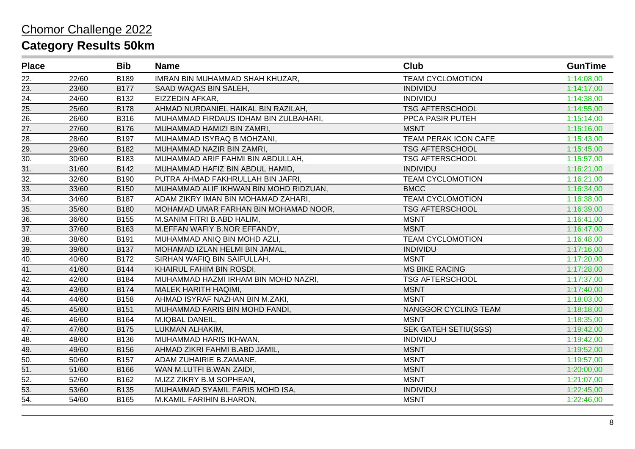| <b>Place</b>      |       | <b>Bib</b>  | <b>Name</b>                            | Club                        | <b>GunTime</b> |
|-------------------|-------|-------------|----------------------------------------|-----------------------------|----------------|
| 22.               | 22/60 | B189        | IMRAN BIN MUHAMMAD SHAH KHUZAR,        | <b>TEAM CYCLOMOTION</b>     | 1:14:08,00     |
| 23.               | 23/60 | <b>B177</b> | SAAD WAQAS BIN SALEH,                  | <b>INDIVIDU</b>             | 1:14:17,00     |
| 24.               | 24/60 | B132        | EIZZEDIN AFKAR,                        | <b>INDIVIDU</b>             | 1:14:38,00     |
| 25.               | 25/60 | <b>B178</b> | AHMAD NURDANIEL HAIKAL BIN RAZILAH,    | <b>TSG AFTERSCHOOL</b>      | 1:14:55,00     |
| $\overline{26}$   | 26/60 | B316        | MUHAMMAD FIRDAUS IDHAM BIN ZULBAHARI,  | PPCA PASIR PUTEH            | 1:15:14,00     |
| 27.               | 27/60 | B176        | MUHAMMAD HAMIZI BIN ZAMRI,             | <b>MSNT</b>                 | 1:15:16,00     |
| 28.               | 28/60 | B197        | MUHAMMAD ISYRAQ B MOHZANI,             | TEAM PERAK ICON CAFE        | 1:15:43,00     |
| 29.               | 29/60 | B182        | MUHAMMAD NAZIR BIN ZAMRI,              | <b>TSG AFTERSCHOOL</b>      | 1:15:45,00     |
| 30.               | 30/60 | B183        | MUHAMMAD ARIF FAHMI BIN ABDULLAH,      | <b>TSG AFTERSCHOOL</b>      | 1:15:57,00     |
| $\overline{31}$ . | 31/60 | B142        | MUHAMMAD HAFIZ BIN ABDUL HAMID,        | <b>INDIVIDU</b>             | 1:16:21,00     |
| 32.               | 32/60 | B190        | PUTRA AHMAD FAKHRULLAH BIN JAFRI,      | <b>TEAM CYCLOMOTION</b>     | 1:16:21,00     |
| 33.               | 33/60 | <b>B150</b> | MUHAMMAD ALIF IKHWAN BIN MOHD RIDZUAN, | <b>BMCC</b>                 | 1:16:34,00     |
| 34.               | 34/60 | B187        | ADAM ZIKRY IMAN BIN MOHAMAD ZAHARI,    | <b>TEAM CYCLOMOTION</b>     | 1:16:38,00     |
| 35.               | 35/60 | B180        | MOHAMAD UMAR FARHAN BIN MOHAMAD NOOR,  | <b>TSG AFTERSCHOOL</b>      | 1:16:39,00     |
| 36.               | 36/60 | B155        | M.SANIM FITRI B.ABD HALIM,             | <b>MSNT</b>                 | 1:16:41,00     |
| 37.               | 37/60 | B163        | M.EFFAN WAFIY B.NOR EFFANDY,           | <b>MSNT</b>                 | 1:16:47,00     |
| 38.               | 38/60 | B191        | MUHAMMAD ANIQ BIN MOHD AZLI,           | <b>TEAM CYCLOMOTION</b>     | 1:16:48,00     |
| 39.               | 39/60 | <b>B137</b> | MOHAMAD IZLAN HELMI BIN JAMAL,         | <b>INDIVIDU</b>             | 1:17:16,00     |
| 40.               | 40/60 | B172        | SIRHAN WAFIQ BIN SAIFULLAH,            | <b>MSNT</b>                 | 1:17:20,00     |
| $\overline{41}$ . | 41/60 | <b>B144</b> | KHAIRUL FAHIM BIN ROSDI,               | <b>MS BIKE RACING</b>       | 1:17:28,00     |
| 42.               | 42/60 | B184        | MUHAMMAD HAZMI IRHAM BIN MOHD NAZRI,   | <b>TSG AFTERSCHOOL</b>      | 1:17:37,00     |
| 43.               | 43/60 | B174        | MALEK HARITH HAQIMI,                   | <b>MSNT</b>                 | 1:17:40,00     |
| 44.               | 44/60 | B158        | AHMAD ISYRAF NAZHAN BIN M.ZAKI,        | <b>MSNT</b>                 | 1:18:03,00     |
| 45.               | 45/60 | B151        | MUHAMMAD FARIS BIN MOHD FANDI,         | NANGGOR CYCLING TEAM        | 1:18:18,00     |
| $\overline{46}$ . | 46/60 | B164        | M.IQBAL DANEIL,                        | <b>MSNT</b>                 | 1:18:35,00     |
| 47.               | 47/60 | <b>B175</b> | LUKMAN ALHAKIM,                        | <b>SEK GATEH SETIU(SGS)</b> | 1:19:42,00     |
| 48.               | 48/60 | B136        | MUHAMMAD HARIS IKHWAN,                 | <b>INDIVIDU</b>             | 1:19:42,00     |
| 49.               | 49/60 | B156        | AHMAD ZIKRI FAHMI B.ABD JAMIL,         | <b>MSNT</b>                 | 1:19:52,00     |
| 50.               | 50/60 | <b>B157</b> | ADAM ZUHAIRIE B.ZAMANE,                | <b>MSNT</b>                 | 1:19:57,00     |
| 51.               | 51/60 | B166        | WAN M.LUTFI B.WAN ZAIDI,               | <b>MSNT</b>                 | 1:20:00,00     |
| 52.               | 52/60 | B162        | M.IZZ ZIKRY B.M SOPHEAN,               | <b>MSNT</b>                 | 1:21:07,00     |
| $\overline{53}$ . | 53/60 | B135        | MUHAMMAD SYAMIL FARIS MOHD ISA,        | <b>INDIVIDU</b>             | 1:22:45,00     |
| 54.               | 54/60 | B165        | M.KAMIL FARIHIN B.HARON,               | <b>MSNT</b>                 | 1:22:46,00     |